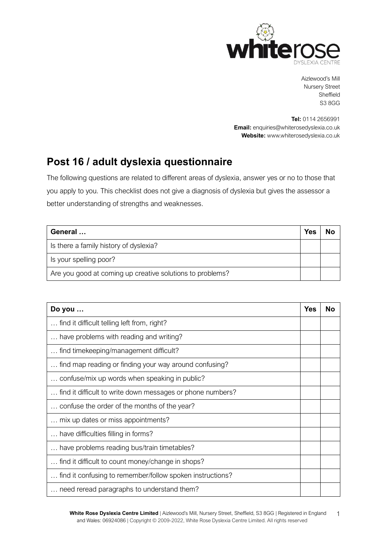

Aizlewood's Mill Nursery Street Sheffield S3 8GG

**Tel:** 0114 2656991 **Email:** [enquiries@whiterosedyslexia.co.uk](mailto:enquiries@whiterosedyslexia.co.uk) **Website:** ww[w.whiterosedyslexia.co.uk](http://www.whiterosedyslexia.co.uk/)

## **Post 16 / adult dyslexia questionnaire**

The following questions are related to different areas of dyslexia, answer yes or no to those that you apply to you. This checklist does not give a diagnosis of dyslexia but gives the assessor a better understanding of strengths and weaknesses.

| General                                                   | <b>Yes</b> | No |
|-----------------------------------------------------------|------------|----|
| Is there a family history of dyslexia?                    |            |    |
| Is your spelling poor?                                    |            |    |
| Are you good at coming up creative solutions to problems? |            |    |

| Do you                                                     | <b>Yes</b> | N٥ |
|------------------------------------------------------------|------------|----|
| find it difficult telling left from, right?                |            |    |
| have problems with reading and writing?                    |            |    |
| find timekeeping/management difficult?                     |            |    |
| find map reading or finding your way around confusing?     |            |    |
| confuse/mix up words when speaking in public?              |            |    |
| find it difficult to write down messages or phone numbers? |            |    |
| confuse the order of the months of the year?               |            |    |
| mix up dates or miss appointments?                         |            |    |
| have difficulties filling in forms?                        |            |    |
| have problems reading bus/train timetables?                |            |    |
| find it difficult to count money/change in shops?          |            |    |
| find it confusing to remember/follow spoken instructions?  |            |    |
| need reread paragraphs to understand them?                 |            |    |